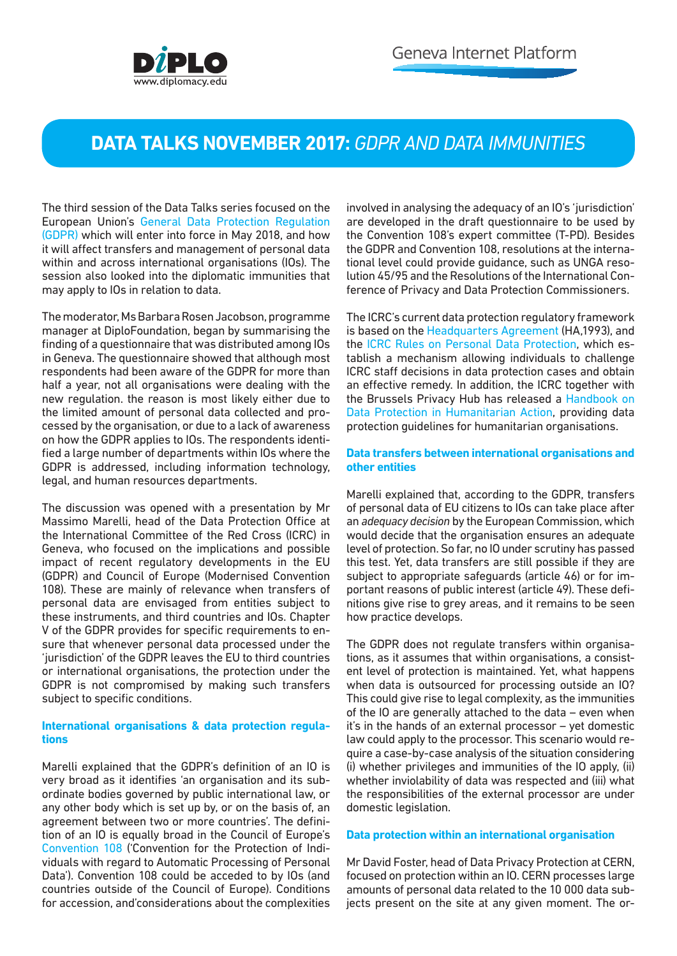

# **DATA TALKS NOVEMBER 2017:** *GDPR AND DATA IMMUNITIES*

The third session of the Data Talks series focused on the European Union's [General Data Protection Regulation](https://gdpr-info.eu/)  [\(GDPR\)](https://gdpr-info.eu/) which will enter into force in May 2018, and how it will affect transfers and management of personal data within and across international organisations (IOs). The session also looked into the diplomatic immunities that may apply to IOs in relation to data.

The moderator, Ms Barbara Rosen Jacobson, programme manager at DiploFoundation, began by summarising the finding of a questionnaire that was distributed among IOs in Geneva. The questionnaire showed that although most respondents had been aware of the GDPR for more than half a year, not all organisations were dealing with the new regulation. the reason is most likely either due to the limited amount of personal data collected and processed by the organisation, or due to a lack of awareness on how the GDPR applies to IOs. The respondents identified a large number of departments within IOs where the GDPR is addressed, including information technology, legal, and human resources departments.

The discussion was opened with a presentation by Mr Massimo Marelli, head of the Data Protection Office at the International Committee of the Red Cross (ICRC) in Geneva, who focused on the implications and possible impact of recent regulatory developments in the EU (GDPR) and Council of Europe (Modernised Convention 108). These are mainly of relevance when transfers of personal data are envisaged from entities subject to these instruments, and third countries and IOs. Chapter V of the GDPR provides for specific requirements to ensure that whenever personal data processed under the 'jurisdiction' of the GDPR leaves the EU to third countries or international organisations, the protection under the GDPR is not compromised by making such transfers subject to specific conditions.

## **International organisations & data protection regulations**

Marelli explained that the GDPR's definition of an IO is very broad as it identifies 'an organisation and its subordinate bodies governed by public international law, or any other body which is set up by, or on the basis of, an agreement between two or more countries'. The definition of an IO is equally broad in the Council of Europe's [Convention 108](https://rm.coe.int/1680078b37) ('Convention for the Protection of Individuals with regard to Automatic Processing of Personal Data'). Convention 108 could be acceded to by IOs (and countries outside of the Council of Europe). Conditions for accession, and'considerations about the complexities

involved in analysing the adequacy of an IO's 'iurisdiction' are developed in the draft questionnaire to be used by the Convention 108's expert committee (T-PD). Besides the GDPR and Convention 108, resolutions at the international level could provide guidance, such as UNGA resolution 45/95 and the Resolutions of the International Conference of Privacy and Data Protection Commissioners.

The ICRC's current data protection regulatory framework is based on the [Headquarters Agreement \(](https://casebook.icrc.org/case-study/agreement-between-icrc-and-switzerland)HA,1993), and the [ICRC Rules on Personal Data Protection](https://www.icrc.org/en/publication/4261-icrc-rules-on-personal-data-protection), which establish a mechanism allowing individuals to challenge ICRC staff decisions in data protection cases and obtain an effective remedy. In addition, the ICRC together with the Brussels Privacy Hub has released a [Handbook on](https://www.icrc.org/en/publication/handbook-data-protection-humanitarian-action) [Data Protection in Humanitarian Action](https://www.icrc.org/en/publication/handbook-data-protection-humanitarian-action), providing data protection guidelines for humanitarian organisations.

### **Data transfers between international organisations and other entities**

Marelli explained that, according to the GDPR, transfers of personal data of EU citizens to IOs can take place after an *adequacy decision* by the European Commission, which would decide that the organisation ensures an adequate level of protection. So far, no IO under scrutiny has passed this test. Yet, data transfers are still possible if they are subject to appropriate safeguards (article 46) or for important reasons of public interest (article 49). These definitions give rise to grey areas, and it remains to be seen how practice develops.

The GDPR does not regulate transfers within organisations, as it assumes that within organisations, a consistent level of protection is maintained. Yet, what happens when data is outsourced for processing outside an IO? This could give rise to legal complexity, as the immunities of the IO are generally attached to the data – even when it's in the hands of an external processor – yet domestic law could apply to the processor. This scenario would require a case-by-case analysis of the situation considering (i) whether privileges and immunities of the IO apply, (ii) whether inviolability of data was respected and (iii) what the responsibilities of the external processor are under domestic legislation.

#### **Data protection within an international organisation**

Mr David Foster, head of Data Privacy Protection at CERN, focused on protection within an IO. CERN processes large amounts of personal data related to the 10 000 data subjects present on the site at any given moment. The or-